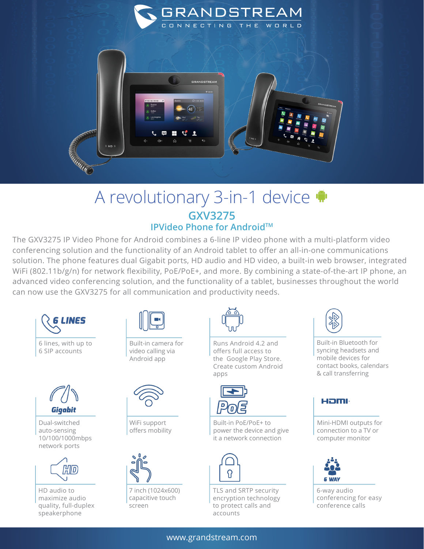

## A revolutionary 3-in-1 device **GXV3275 IPVideo Phone for Android™**

The GXV3275 IP Video Phone for Android combines a 6-line IP video phone with a multi-platform video conferencing solution and the functionality of an Android tablet to offer an all-in-one communications solution. The phone features dual Gigabit ports, HD audio and HD video, a built-in web browser, integrated WiFi (802.11b/g/n) for network flexibility, PoE/PoE+, and more. By combining a state-of-the-art IP phone, an advanced video conferencing solution, and the functionality of a tablet, businesses throughout the world can now use the GXV3275 for all communication and productivity needs.



6 SIP accounts



Dual-switched auto-sensing 10/100/1000mbps network ports



HD audio to maximize audio quality, full-duplex speakerphone



Built-in camera for video calling via Android app



WiFi support offers mobility



7 inch (1024x600) capacitive touch screen



Runs Android 4.2 and offers full access to the Google Play Store. Create custom Android apps



Built-in PoE/PoE+ to power the device and give it a network connection



TLS and SRTP security encryption technology to protect calls and accounts



Built-in Bluetooth for syncing headsets and mobile devices for contact books, calendars & call transferring



Mini-HDMI outputs for connection to a TV or computer monitor



6-way audio conferencing for easy conference calls